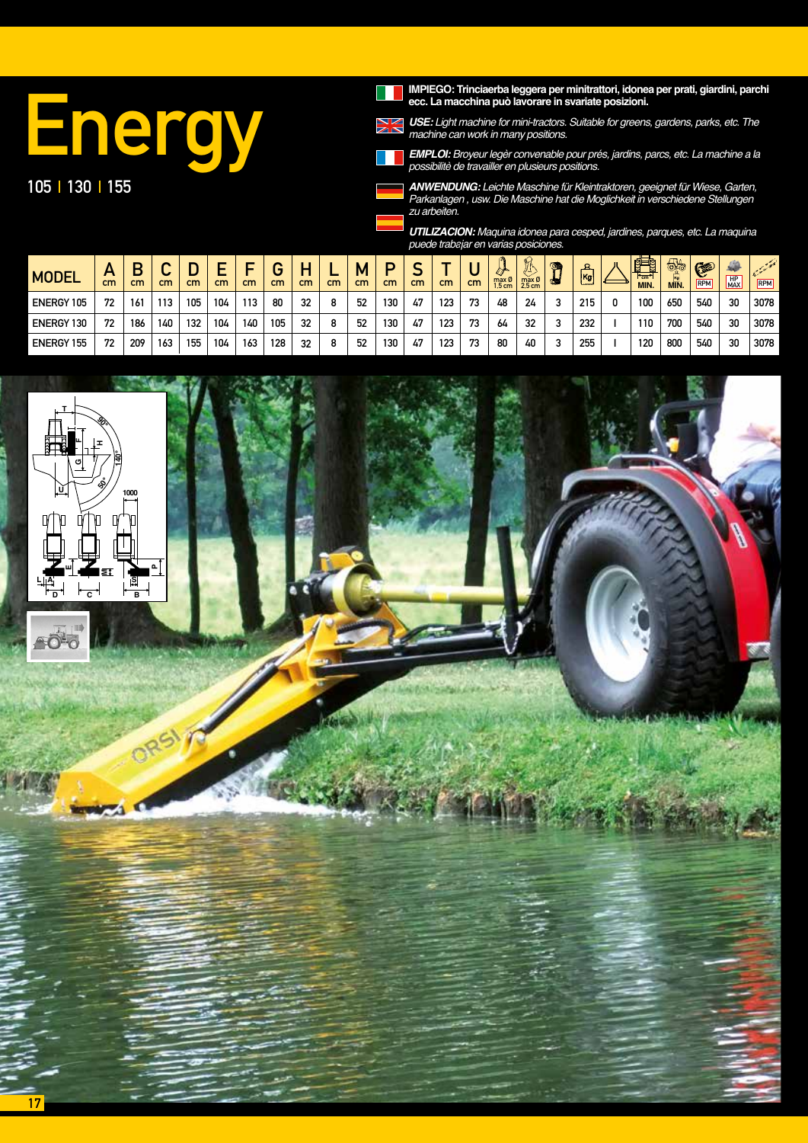IMPIEGO: Trinciaerba leggera per minitrattori, idonea per prati, giardini, parchi ecc. La macchina può lavorare in svariate posizioni.

# Energy 105 | 130 | 155

*USE:* Light machine for mini-tractors. Suitable for greens, gardens, parks, etc. The machine can work in many positions.

*EMPLOI:* Broyeur legèr convenable pour prés, jardins, parcs, etc. La machine a la *possibilitè de travailler en plusieurs positions.*

*ANWENDUNG:* Leichte Maschine für Kleintraktoren, geeignet für Wiese, Garten, Parkanlagen , usw. Die Maschine hat die Moglichkeit in verschiedene Stellungen zu arbeiten.

*UTILIZACION: Maquina idonea para cesped, jardines, parques, etc. La maquina puede trabajar en varias posiciones.*

| <b>MODEL</b>      | $\sqrt{ }$<br>cm | cm  | $\cdot$<br>cm | cm  | cm  | _<br>cm | cm  | cm | cm | cm | cm  | cm | cm  | cm | max Ø<br>$1.5 \text{ cm}$ | A<br>$max \emptyset$<br>2.5 <sub>cm</sub> | o, | 요<br> Kg<br>ت المنابع | 轌<br>E<br>$\tau_{\rm cm}$<br>MIN. | 65<br>MIN. | G<br><b>RPM</b> | 编<br>H <sub>P</sub> <sub>MAX</sub> | $\mathcal{L}^{\mathcal{L}^{\mathcal{L}^{\mathcal{L}^{\mathcal{L}^{\mathcal{L}^{\mathcal{L}^{\mathcal{L}^{\mathcal{L}^{\mathcal{L}^{\mathcal{L}^{\mathcal{L}^{\mathcal{L}^{\mathcal{L}^{\mathcal{L}^{\mathcal{L}^{\mathcal{L}^{\mathcal{L}^{\mathcal{L}^{\mathcal{L}^{\mathcal{L}^{\mathcal{L}^{\mathcal{L}^{\mathcal{L}^{\mathcal{L}^{\mathcal{L}^{\mathcal{L}^{\mathcal{L}^{\mathcal{L}^{\mathcal{L}^{\mathcal{L}^{\mathcal$<br>RPM |
|-------------------|------------------|-----|---------------|-----|-----|---------|-----|----|----|----|-----|----|-----|----|---------------------------|-------------------------------------------|----|-----------------------|-----------------------------------|------------|-----------------|------------------------------------|--------------------------------------------------------------------------------------------------------------------------------------------------------------------------------------------------------------------------------------------------------------------------------------------------------------------------------------------------------------------------------------------------------------------------------------|
| <b>ENERGY 105</b> | 72               | 161 | 113           | 105 | 104 | 113     | 80  | 32 | 8  | 52 | 130 | 47 | 123 | 73 | 48                        | 24                                        |    | 215                   | 100                               | 650        | 540             | 30                                 | 3078                                                                                                                                                                                                                                                                                                                                                                                                                                 |
| <b>ENERGY 130</b> | 72               | 186 | 140           | 132 | 104 | 140     | 105 | 32 | 8  | 52 | 130 | 47 | 123 | 73 | 64                        | 32                                        |    | 232                   | 110                               | 700        | 540             | 30                                 | 3078                                                                                                                                                                                                                                                                                                                                                                                                                                 |
| <b>ENERGY 155</b> | 72               | 209 | 163           | 155 | 104 | 163     | 128 | 32 | 8  | 52 | 130 | 47 | 123 | 73 | 80                        | 40                                        |    | 255                   | 120                               | 800        | 540             | 30                                 | 3078                                                                                                                                                                                                                                                                                                                                                                                                                                 |